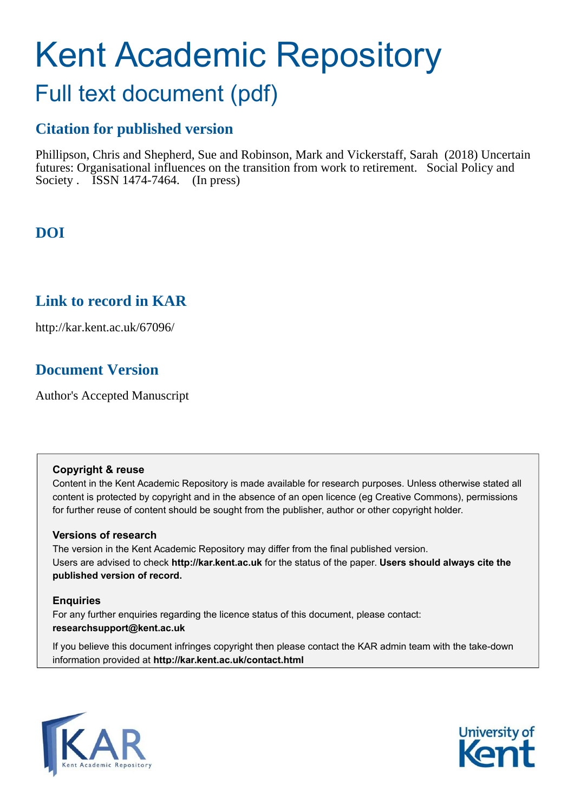# Kent Academic Repository

## Full text document (pdf)

## **Citation for published version**

Phillipson, Chris and Shepherd, Sue and Robinson, Mark and Vickerstaff, Sarah (2018) Uncertain futures: Organisational influences on the transition from work to retirement. Social Policy and Society . **ISSN** 1474-7464. (In press)

## **DOI**

### **Link to record in KAR**

http://kar.kent.ac.uk/67096/

## **Document Version**

Author's Accepted Manuscript

#### **Copyright & reuse**

Content in the Kent Academic Repository is made available for research purposes. Unless otherwise stated all content is protected by copyright and in the absence of an open licence (eg Creative Commons), permissions for further reuse of content should be sought from the publisher, author or other copyright holder.

#### **Versions of research**

The version in the Kent Academic Repository may differ from the final published version. Users are advised to check **http://kar.kent.ac.uk** for the status of the paper. **Users should always cite the published version of record.**

#### **Enquiries**

For any further enquiries regarding the licence status of this document, please contact: **researchsupport@kent.ac.uk**

If you believe this document infringes copyright then please contact the KAR admin team with the take-down information provided at **http://kar.kent.ac.uk/contact.html**



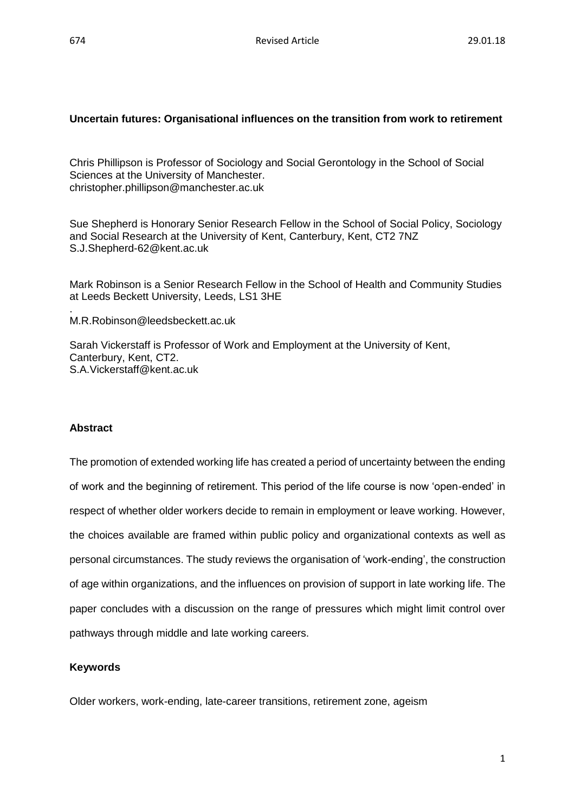#### **Uncertain futures: Organisational influences on the transition from work to retirement**

Chris Phillipson is Professor of Sociology and Social Gerontology in the School of Social Sciences at the University of Manchester. christopher.phillipson@manchester.ac.uk

Sue Shepherd is Honorary Senior Research Fellow in the School of Social Policy, Sociology and Social Research at the University of Kent, Canterbury, Kent, CT2 7NZ S.J.Shepherd-62@kent.ac.uk

Mark Robinson is a Senior Research Fellow in the School of Health and Community Studies at Leeds Beckett University, Leeds, LS1 3HE

M.R.Robinson@leedsbeckett.ac.uk

Sarah Vickerstaff is Professor of Work and Employment at the University of Kent, Canterbury, Kent, CT2. S.A.Vickerstaff@kent.ac.uk

#### **Abstract**

.

The promotion of extended working life has created a period of uncertainty between the ending of work and the beginning of retirement. This period of the life course is now 'open-ended' in respect of whether older workers decide to remain in employment or leave working. However, the choices available are framed within public policy and organizational contexts as well as personal circumstances. The study reviews the organisation of 'work-ending', the construction of age within organizations, and the influences on provision of support in late working life. The paper concludes with a discussion on the range of pressures which might limit control over pathways through middle and late working careers.

#### **Keywords**

Older workers, work-ending, late-career transitions, retirement zone, ageism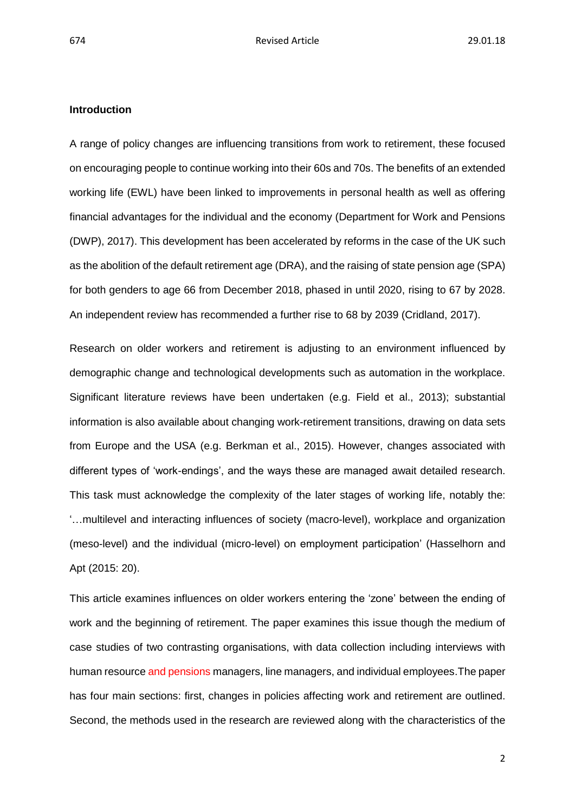#### **Introduction**

A range of policy changes are influencing transitions from work to retirement, these focused on encouraging people to continue working into their 60s and 70s. The benefits of an extended working life (EWL) have been linked to improvements in personal health as well as offering financial advantages for the individual and the economy (Department for Work and Pensions (DWP), 2017). This development has been accelerated by reforms in the case of the UK such as the abolition of the default retirement age (DRA), and the raising of state pension age (SPA) for both genders to age 66 from December 2018, phased in until 2020, rising to 67 by 2028. An independent review has recommended a further rise to 68 by 2039 (Cridland, 2017).

Research on older workers and retirement is adjusting to an environment influenced by demographic change and technological developments such as automation in the workplace. Significant literature reviews have been undertaken (e.g. Field et al., 2013); substantial information is also available about changing work-retirement transitions, drawing on data sets from Europe and the USA (e.g. Berkman et al., 2015). However, changes associated with different types of 'work-endings', and the ways these are managed await detailed research. This task must acknowledge the complexity of the later stages of working life, notably the: '…multilevel and interacting influences of society (macro-level), workplace and organization (meso-level) and the individual (micro-level) on employment participation' (Hasselhorn and Apt (2015: 20).

This article examines influences on older workers entering the 'zone' between the ending of work and the beginning of retirement. The paper examines this issue though the medium of case studies of two contrasting organisations, with data collection including interviews with human resource and pensions managers, line managers, and individual employees.The paper has four main sections: first, changes in policies affecting work and retirement are outlined. Second, the methods used in the research are reviewed along with the characteristics of the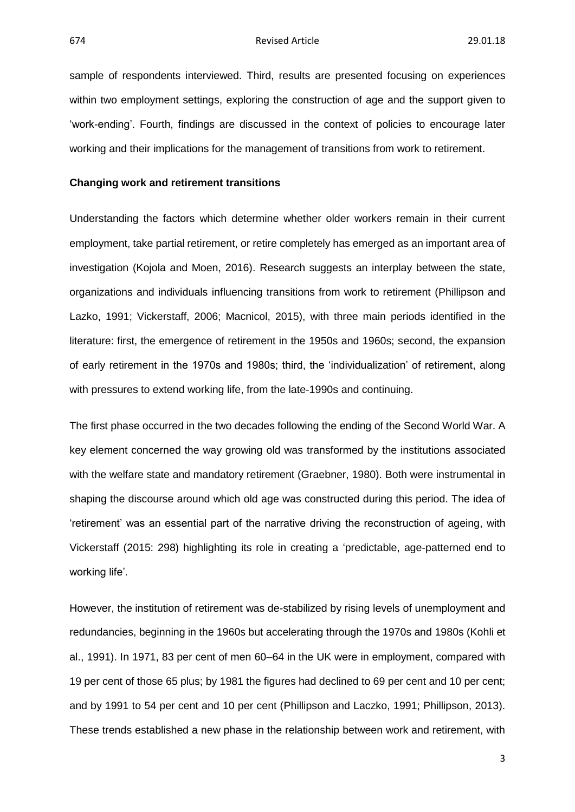sample of respondents interviewed. Third, results are presented focusing on experiences within two employment settings, exploring the construction of age and the support given to 'work-ending'. Fourth, findings are discussed in the context of policies to encourage later working and their implications for the management of transitions from work to retirement.

#### **Changing work and retirement transitions**

Understanding the factors which determine whether older workers remain in their current employment, take partial retirement, or retire completely has emerged as an important area of investigation (Kojola and Moen, 2016). Research suggests an interplay between the state, organizations and individuals influencing transitions from work to retirement (Phillipson and Lazko, 1991; Vickerstaff, 2006; Macnicol, 2015), with three main periods identified in the literature: first, the emergence of retirement in the 1950s and 1960s; second, the expansion of early retirement in the 1970s and 1980s; third, the 'individualization' of retirement, along with pressures to extend working life, from the late-1990s and continuing.

The first phase occurred in the two decades following the ending of the Second World War. A key element concerned the way growing old was transformed by the institutions associated with the welfare state and mandatory retirement (Graebner, 1980). Both were instrumental in shaping the discourse around which old age was constructed during this period. The idea of 'retirement' was an essential part of the narrative driving the reconstruction of ageing, with Vickerstaff (2015: 298) highlighting its role in creating a 'predictable, age-patterned end to working life'.

However, the institution of retirement was de-stabilized by rising levels of unemployment and redundancies, beginning in the 1960s but accelerating through the 1970s and 1980s (Kohli et al., 1991). In 1971, 83 per cent of men 60–64 in the UK were in employment, compared with 19 per cent of those 65 plus; by 1981 the figures had declined to 69 per cent and 10 per cent; and by 1991 to 54 per cent and 10 per cent (Phillipson and Laczko, 1991; Phillipson, 2013). These trends established a new phase in the relationship between work and retirement, with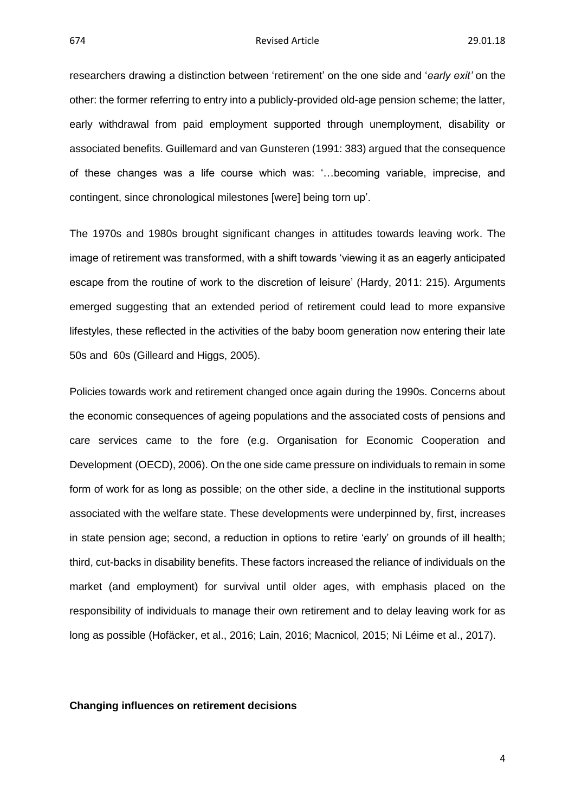researchers drawing a distinction between 'retirement' on the one side and '*early exit'* on the other: the former referring to entry into a publicly-provided old-age pension scheme; the latter, early withdrawal from paid employment supported through unemployment, disability or associated benefits. Guillemard and van Gunsteren (1991: 383) argued that the consequence of these changes was a life course which was: '…becoming variable, imprecise, and contingent, since chronological milestones [were] being torn up'.

The 1970s and 1980s brought significant changes in attitudes towards leaving work. The image of retirement was transformed, with a shift towards 'viewing it as an eagerly anticipated escape from the routine of work to the discretion of leisure' (Hardy, 2011: 215). Arguments emerged suggesting that an extended period of retirement could lead to more expansive lifestyles, these reflected in the activities of the baby boom generation now entering their late 50s and 60s (Gilleard and Higgs, 2005).

Policies towards work and retirement changed once again during the 1990s. Concerns about the economic consequences of ageing populations and the associated costs of pensions and care services came to the fore (e.g. Organisation for Economic Cooperation and Development (OECD), 2006). On the one side came pressure on individuals to remain in some form of work for as long as possible; on the other side, a decline in the institutional supports associated with the welfare state. These developments were underpinned by, first, increases in state pension age; second, a reduction in options to retire 'early' on grounds of ill health; third, cut-backs in disability benefits. These factors increased the reliance of individuals on the market (and employment) for survival until older ages, with emphasis placed on the responsibility of individuals to manage their own retirement and to delay leaving work for as long as possible (Hofäcker, et al., 2016; Lain, 2016; Macnicol, 2015; Ni Léime et al., 2017).

#### **Changing influences on retirement decisions**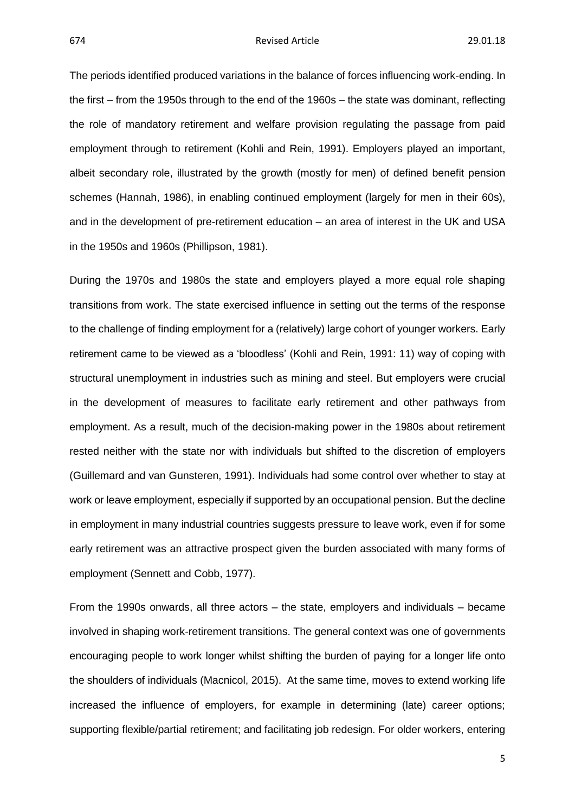The periods identified produced variations in the balance of forces influencing work-ending. In the first – from the 1950s through to the end of the 1960s – the state was dominant, reflecting the role of mandatory retirement and welfare provision regulating the passage from paid employment through to retirement (Kohli and Rein, 1991). Employers played an important, albeit secondary role, illustrated by the growth (mostly for men) of defined benefit pension schemes (Hannah, 1986), in enabling continued employment (largely for men in their 60s), and in the development of pre-retirement education – an area of interest in the UK and USA in the 1950s and 1960s (Phillipson, 1981).

During the 1970s and 1980s the state and employers played a more equal role shaping transitions from work. The state exercised influence in setting out the terms of the response to the challenge of finding employment for a (relatively) large cohort of younger workers. Early retirement came to be viewed as a 'bloodless' (Kohli and Rein, 1991: 11) way of coping with structural unemployment in industries such as mining and steel. But employers were crucial in the development of measures to facilitate early retirement and other pathways from employment. As a result, much of the decision-making power in the 1980s about retirement rested neither with the state nor with individuals but shifted to the discretion of employers (Guillemard and van Gunsteren, 1991). Individuals had some control over whether to stay at work or leave employment, especially if supported by an occupational pension. But the decline in employment in many industrial countries suggests pressure to leave work, even if for some early retirement was an attractive prospect given the burden associated with many forms of employment (Sennett and Cobb, 1977).

From the 1990s onwards, all three actors – the state, employers and individuals – became involved in shaping work-retirement transitions. The general context was one of governments encouraging people to work longer whilst shifting the burden of paying for a longer life onto the shoulders of individuals (Macnicol, 2015). At the same time, moves to extend working life increased the influence of employers, for example in determining (late) career options; supporting flexible/partial retirement; and facilitating job redesign. For older workers, entering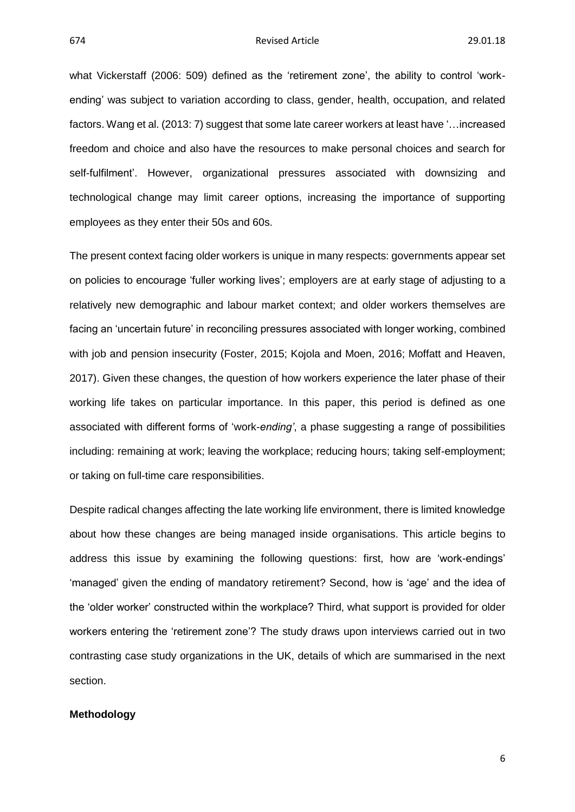what Vickerstaff (2006: 509) defined as the 'retirement zone', the ability to control 'workending' was subject to variation according to class, gender, health, occupation, and related factors. Wang et al. (2013: 7) suggest that some late career workers at least have '…increased freedom and choice and also have the resources to make personal choices and search for self-fulfilment'. However, organizational pressures associated with downsizing and technological change may limit career options, increasing the importance of supporting employees as they enter their 50s and 60s.

The present context facing older workers is unique in many respects: governments appear set on policies to encourage 'fuller working lives'; employers are at early stage of adjusting to a relatively new demographic and labour market context; and older workers themselves are facing an 'uncertain future' in reconciling pressures associated with longer working, combined with job and pension insecurity (Foster, 2015; Kojola and Moen, 2016; Moffatt and Heaven, 2017). Given these changes, the question of how workers experience the later phase of their working life takes on particular importance. In this paper, this period is defined as one associated with different forms of 'work-*ending'*, a phase suggesting a range of possibilities including: remaining at work; leaving the workplace; reducing hours; taking self-employment; or taking on full-time care responsibilities.

Despite radical changes affecting the late working life environment, there is limited knowledge about how these changes are being managed inside organisations. This article begins to address this issue by examining the following questions: first, how are 'work-endings' 'managed' given the ending of mandatory retirement? Second, how is 'age' and the idea of the 'older worker' constructed within the workplace? Third, what support is provided for older workers entering the 'retirement zone'? The study draws upon interviews carried out in two contrasting case study organizations in the UK, details of which are summarised in the next section.

#### **Methodology**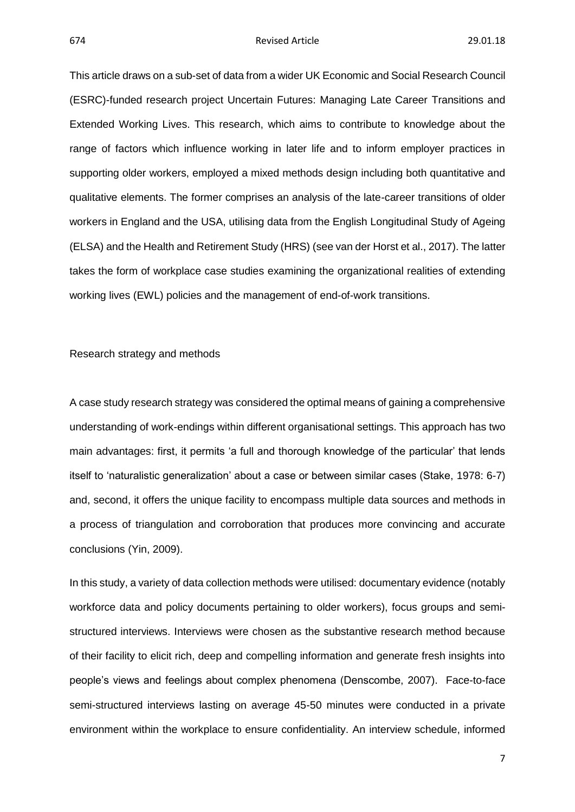#### 674 Revised Article 29.01.18

This article draws on a sub-set of data from a wider UK Economic and Social Research Council (ESRC)-funded research project Uncertain Futures: Managing Late Career Transitions and Extended Working Lives. This research, which aims to contribute to knowledge about the range of factors which influence working in later life and to inform employer practices in supporting older workers, employed a mixed methods design including both quantitative and qualitative elements. The former comprises an analysis of the late-career transitions of older workers in England and the USA, utilising data from the English Longitudinal Study of Ageing (ELSA) and the Health and Retirement Study (HRS) (see van der Horst et al., 2017). The latter takes the form of workplace case studies examining the organizational realities of extending working lives (EWL) policies and the management of end-of-work transitions.

#### Research strategy and methods

A case study research strategy was considered the optimal means of gaining a comprehensive understanding of work-endings within different organisational settings. This approach has two main advantages: first, it permits 'a full and thorough knowledge of the particular' that lends itself to 'naturalistic generalization' about a case or between similar cases (Stake, 1978: 6-7) and, second, it offers the unique facility to encompass multiple data sources and methods in a process of triangulation and corroboration that produces more convincing and accurate conclusions (Yin, 2009).

In this study, a variety of data collection methods were utilised: documentary evidence (notably workforce data and policy documents pertaining to older workers), focus groups and semistructured interviews. Interviews were chosen as the substantive research method because of their facility to elicit rich, deep and compelling information and generate fresh insights into people's views and feelings about complex phenomena (Denscombe, 2007). Face-to-face semi-structured interviews lasting on average 45-50 minutes were conducted in a private environment within the workplace to ensure confidentiality. An interview schedule, informed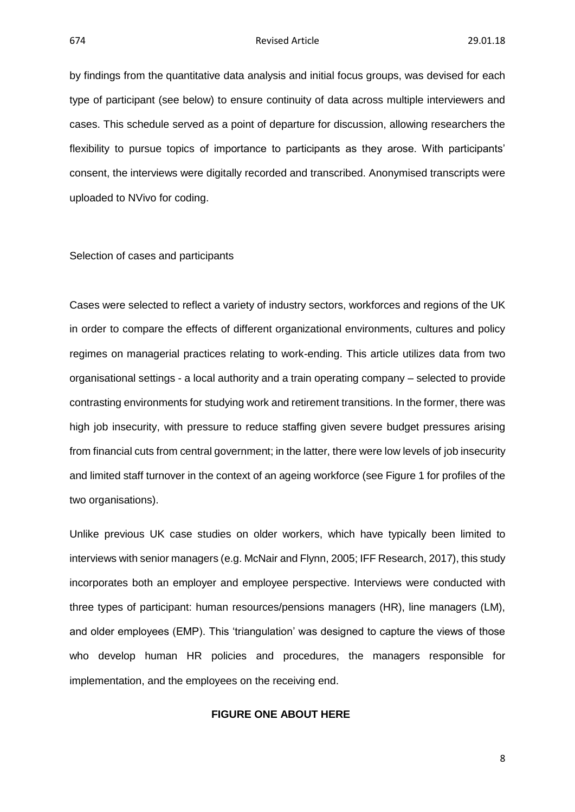by findings from the quantitative data analysis and initial focus groups, was devised for each type of participant (see below) to ensure continuity of data across multiple interviewers and cases. This schedule served as a point of departure for discussion, allowing researchers the flexibility to pursue topics of importance to participants as they arose. With participants' consent, the interviews were digitally recorded and transcribed. Anonymised transcripts were uploaded to NVivo for coding.

Selection of cases and participants

Cases were selected to reflect a variety of industry sectors, workforces and regions of the UK in order to compare the effects of different organizational environments, cultures and policy regimes on managerial practices relating to work-ending. This article utilizes data from two organisational settings - a local authority and a train operating company – selected to provide contrasting environments for studying work and retirement transitions. In the former, there was high job insecurity, with pressure to reduce staffing given severe budget pressures arising from financial cuts from central government; in the latter, there were low levels of job insecurity and limited staff turnover in the context of an ageing workforce (see Figure 1 for profiles of the two organisations).

Unlike previous UK case studies on older workers, which have typically been limited to interviews with senior managers (e.g. McNair and Flynn, 2005; IFF Research, 2017), this study incorporates both an employer and employee perspective. Interviews were conducted with three types of participant: human resources/pensions managers (HR), line managers (LM), and older employees (EMP). This 'triangulation' was designed to capture the views of those who develop human HR policies and procedures, the managers responsible for implementation, and the employees on the receiving end.

#### **FIGURE ONE ABOUT HERE**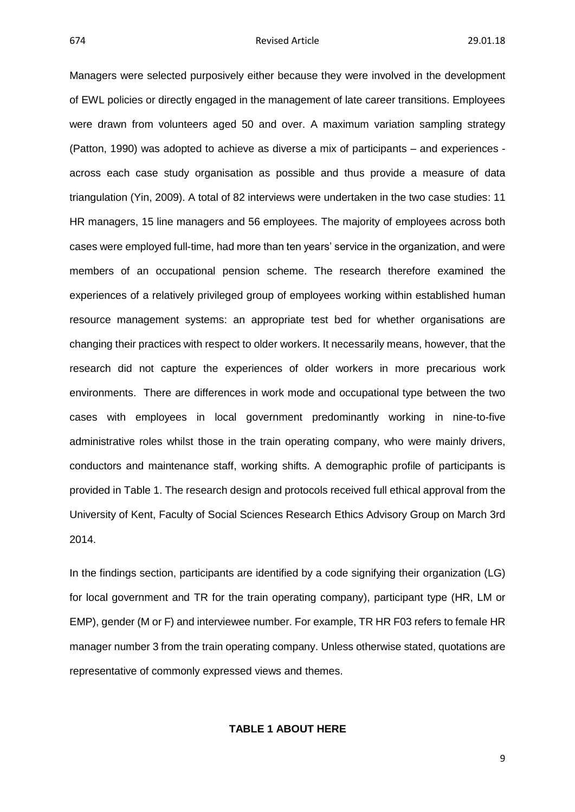#### 674 Revised Article 29.01.18

Managers were selected purposively either because they were involved in the development of EWL policies or directly engaged in the management of late career transitions. Employees were drawn from volunteers aged 50 and over. A maximum variation sampling strategy (Patton, 1990) was adopted to achieve as diverse a mix of participants – and experiences across each case study organisation as possible and thus provide a measure of data triangulation (Yin, 2009). A total of 82 interviews were undertaken in the two case studies: 11 HR managers, 15 line managers and 56 employees. The majority of employees across both cases were employed full-time, had more than ten years' service in the organization, and were members of an occupational pension scheme. The research therefore examined the experiences of a relatively privileged group of employees working within established human resource management systems: an appropriate test bed for whether organisations are changing their practices with respect to older workers. It necessarily means, however, that the research did not capture the experiences of older workers in more precarious work environments. There are differences in work mode and occupational type between the two cases with employees in local government predominantly working in nine-to-five administrative roles whilst those in the train operating company, who were mainly drivers, conductors and maintenance staff, working shifts. A demographic profile of participants is provided in Table 1. The research design and protocols received full ethical approval from the University of Kent, Faculty of Social Sciences Research Ethics Advisory Group on March 3rd 2014.

In the findings section, participants are identified by a code signifying their organization (LG) for local government and TR for the train operating company), participant type (HR, LM or EMP), gender (M or F) and interviewee number. For example, TR HR F03 refers to female HR manager number 3 from the train operating company. Unless otherwise stated, quotations are representative of commonly expressed views and themes.

#### **TABLE 1 ABOUT HERE**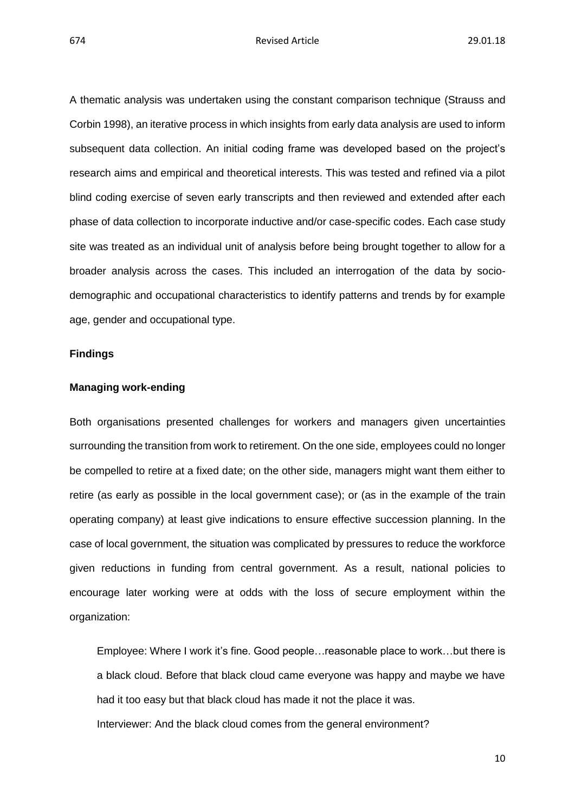A thematic analysis was undertaken using the constant comparison technique (Strauss and Corbin 1998), an iterative process in which insights from early data analysis are used to inform subsequent data collection. An initial coding frame was developed based on the project's research aims and empirical and theoretical interests. This was tested and refined via a pilot blind coding exercise of seven early transcripts and then reviewed and extended after each phase of data collection to incorporate inductive and/or case-specific codes. Each case study site was treated as an individual unit of analysis before being brought together to allow for a broader analysis across the cases. This included an interrogation of the data by sociodemographic and occupational characteristics to identify patterns and trends by for example age, gender and occupational type.

#### **Findings**

#### **Managing work-ending**

Both organisations presented challenges for workers and managers given uncertainties surrounding the transition from work to retirement. On the one side, employees could no longer be compelled to retire at a fixed date; on the other side, managers might want them either to retire (as early as possible in the local government case); or (as in the example of the train operating company) at least give indications to ensure effective succession planning. In the case of local government, the situation was complicated by pressures to reduce the workforce given reductions in funding from central government. As a result, national policies to encourage later working were at odds with the loss of secure employment within the organization:

Employee: Where I work it's fine. Good people…reasonable place to work…but there is a black cloud. Before that black cloud came everyone was happy and maybe we have had it too easy but that black cloud has made it not the place it was. Interviewer: And the black cloud comes from the general environment?

10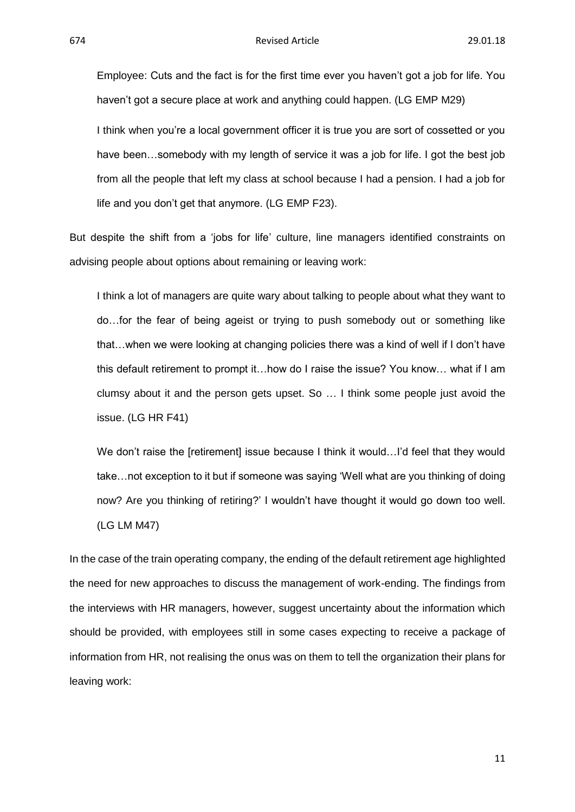Employee: Cuts and the fact is for the first time ever you haven't got a job for life. You haven't got a secure place at work and anything could happen. (LG EMP M29)

I think when you're a local government officer it is true you are sort of cossetted or you have been...somebody with my length of service it was a job for life. I got the best job from all the people that left my class at school because I had a pension. I had a job for life and you don't get that anymore. (LG EMP F23).

But despite the shift from a 'jobs for life' culture, line managers identified constraints on advising people about options about remaining or leaving work:

I think a lot of managers are quite wary about talking to people about what they want to do…for the fear of being ageist or trying to push somebody out or something like that…when we were looking at changing policies there was a kind of well if I don't have this default retirement to prompt it…how do I raise the issue? You know… what if I am clumsy about it and the person gets upset. So … I think some people just avoid the issue. (LG HR F41)

We don't raise the [retirement] issue because I think it would...I'd feel that they would take…not exception to it but if someone was saying 'Well what are you thinking of doing now? Are you thinking of retiring?' I wouldn't have thought it would go down too well. (LG LM M47)

In the case of the train operating company, the ending of the default retirement age highlighted the need for new approaches to discuss the management of work-ending. The findings from the interviews with HR managers, however, suggest uncertainty about the information which should be provided, with employees still in some cases expecting to receive a package of information from HR, not realising the onus was on them to tell the organization their plans for leaving work: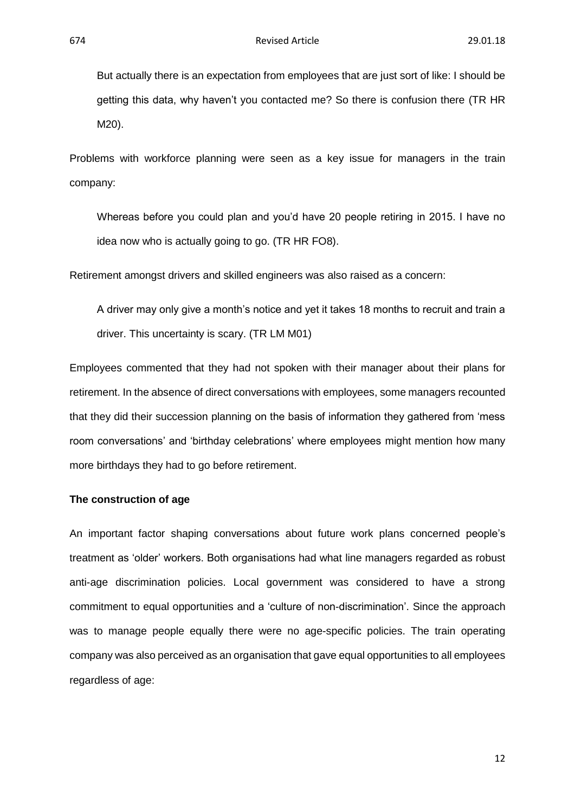But actually there is an expectation from employees that are just sort of like: I should be getting this data, why haven't you contacted me? So there is confusion there (TR HR M20).

Problems with workforce planning were seen as a key issue for managers in the train company:

Whereas before you could plan and you'd have 20 people retiring in 2015. I have no idea now who is actually going to go. (TR HR FO8).

Retirement amongst drivers and skilled engineers was also raised as a concern:

A driver may only give a month's notice and yet it takes 18 months to recruit and train a driver. This uncertainty is scary. (TR LM M01)

Employees commented that they had not spoken with their manager about their plans for retirement. In the absence of direct conversations with employees, some managers recounted that they did their succession planning on the basis of information they gathered from 'mess room conversations' and 'birthday celebrations' where employees might mention how many more birthdays they had to go before retirement.

#### **The construction of age**

An important factor shaping conversations about future work plans concerned people's treatment as 'older' workers. Both organisations had what line managers regarded as robust anti-age discrimination policies. Local government was considered to have a strong commitment to equal opportunities and a 'culture of non-discrimination'. Since the approach was to manage people equally there were no age-specific policies. The train operating company was also perceived as an organisation that gave equal opportunities to all employees regardless of age: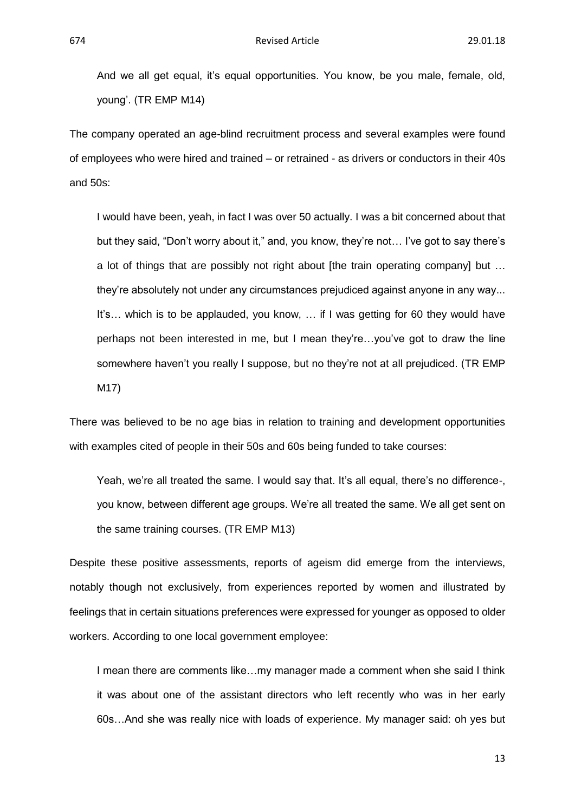And we all get equal, it's equal opportunities. You know, be you male, female, old, young'. (TR EMP M14)

The company operated an age-blind recruitment process and several examples were found of employees who were hired and trained – or retrained - as drivers or conductors in their 40s and 50s:

I would have been, yeah, in fact I was over 50 actually. I was a bit concerned about that but they said, "Don't worry about it," and, you know, they're not… I've got to say there's a lot of things that are possibly not right about [the train operating company] but … they're absolutely not under any circumstances prejudiced against anyone in any way... It's… which is to be applauded, you know, … if I was getting for 60 they would have perhaps not been interested in me, but I mean they're…you've got to draw the line somewhere haven't you really I suppose, but no they're not at all prejudiced. (TR EMP M17)

There was believed to be no age bias in relation to training and development opportunities with examples cited of people in their 50s and 60s being funded to take courses:

Yeah, we're all treated the same. I would say that. It's all equal, there's no difference-, you know, between different age groups. We're all treated the same. We all get sent on the same training courses. (TR EMP M13)

Despite these positive assessments, reports of ageism did emerge from the interviews, notably though not exclusively, from experiences reported by women and illustrated by feelings that in certain situations preferences were expressed for younger as opposed to older workers. According to one local government employee:

I mean there are comments like…my manager made a comment when she said I think it was about one of the assistant directors who left recently who was in her early 60s…And she was really nice with loads of experience. My manager said: oh yes but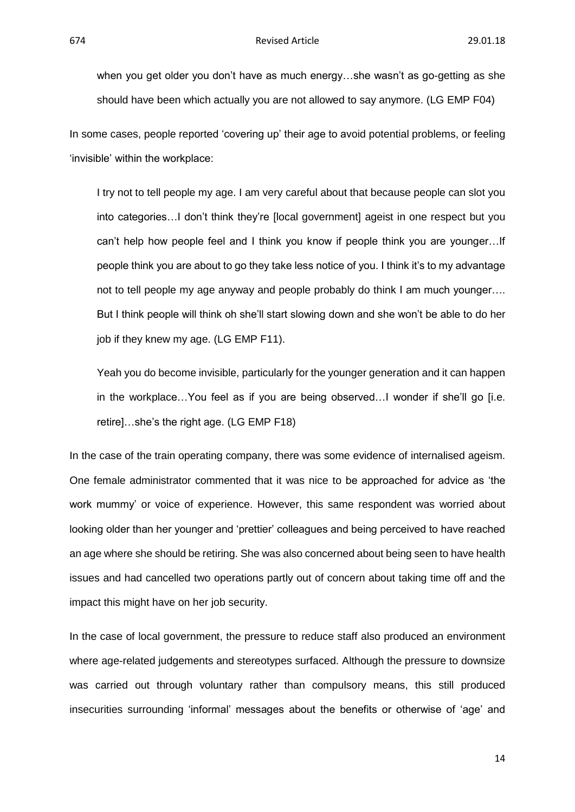when you get older you don't have as much energy…she wasn't as go-getting as she should have been which actually you are not allowed to say anymore. (LG EMP F04)

In some cases, people reported 'covering up' their age to avoid potential problems, or feeling 'invisible' within the workplace:

I try not to tell people my age. I am very careful about that because people can slot you into categories…I don't think they're [local government] ageist in one respect but you can't help how people feel and I think you know if people think you are younger…If people think you are about to go they take less notice of you. I think it's to my advantage not to tell people my age anyway and people probably do think I am much younger…. But I think people will think oh she'll start slowing down and she won't be able to do her job if they knew my age. (LG EMP F11).

Yeah you do become invisible, particularly for the younger generation and it can happen in the workplace…You feel as if you are being observed…I wonder if she'll go [i.e. retire]…she's the right age. (LG EMP F18)

In the case of the train operating company, there was some evidence of internalised ageism. One female administrator commented that it was nice to be approached for advice as 'the work mummy' or voice of experience. However, this same respondent was worried about looking older than her younger and 'prettier' colleagues and being perceived to have reached an age where she should be retiring. She was also concerned about being seen to have health issues and had cancelled two operations partly out of concern about taking time off and the impact this might have on her job security.

In the case of local government, the pressure to reduce staff also produced an environment where age-related judgements and stereotypes surfaced. Although the pressure to downsize was carried out through voluntary rather than compulsory means, this still produced insecurities surrounding 'informal' messages about the benefits or otherwise of 'age' and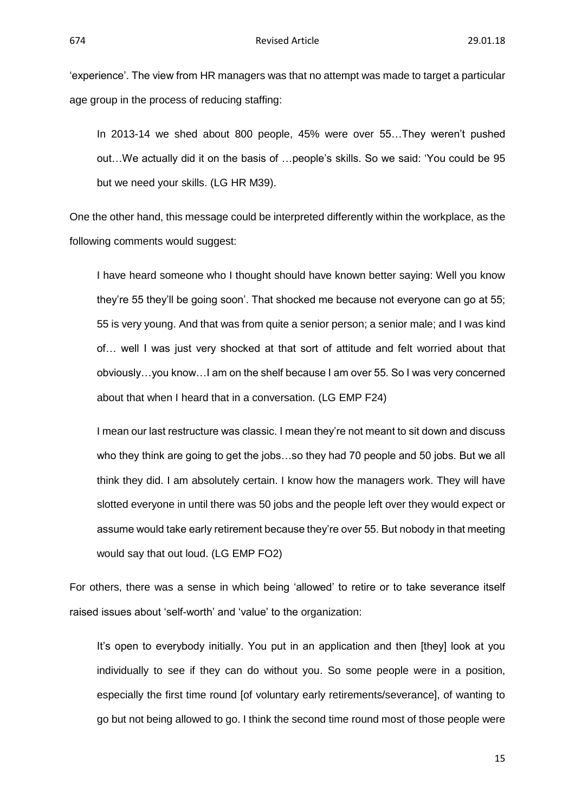'experience'. The view from HR managers was that no attempt was made to target a particular age group in the process of reducing staffing:

In 2013-14 we shed about 800 people, 45% were over 55…They weren't pushed out…We actually did it on the basis of …people's skills. So we said: 'You could be 95 but we need your skills. (LG HR M39).

One the other hand, this message could be interpreted differently within the workplace, as the following comments would suggest:

I have heard someone who I thought should have known better saying: Well you know they're 55 they'll be going soon'. That shocked me because not everyone can go at 55; 55 is very young. And that was from quite a senior person; a senior male; and I was kind of… well I was just very shocked at that sort of attitude and felt worried about that obviously…you know…I am on the shelf because I am over 55. So I was very concerned about that when I heard that in a conversation. (LG EMP F24)

I mean our last restructure was classic. I mean they're not meant to sit down and discuss who they think are going to get the jobs…so they had 70 people and 50 jobs. But we all think they did. I am absolutely certain. I know how the managers work. They will have slotted everyone in until there was 50 jobs and the people left over they would expect or assume would take early retirement because they're over 55. But nobody in that meeting would say that out loud. (LG EMP FO2)

For others, there was a sense in which being 'allowed' to retire or to take severance itself raised issues about 'self-worth' and 'value' to the organization:

It's open to everybody initially. You put in an application and then [they] look at you individually to see if they can do without you. So some people were in a position, especially the first time round [of voluntary early retirements/severance], of wanting to go but not being allowed to go. I think the second time round most of those people were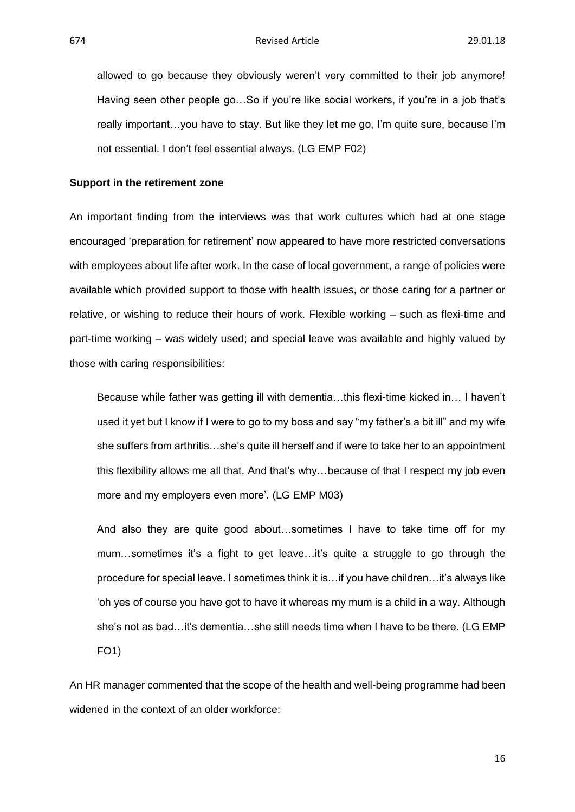allowed to go because they obviously weren't very committed to their job anymore! Having seen other people go...So if you're like social workers, if you're in a job that's really important…you have to stay. But like they let me go, I'm quite sure, because I'm not essential. I don't feel essential always. (LG EMP F02)

#### **Support in the retirement zone**

An important finding from the interviews was that work cultures which had at one stage encouraged 'preparation for retirement' now appeared to have more restricted conversations with employees about life after work. In the case of local government, a range of policies were available which provided support to those with health issues, or those caring for a partner or relative, or wishing to reduce their hours of work. Flexible working – such as flexi-time and part-time working – was widely used; and special leave was available and highly valued by those with caring responsibilities:

Because while father was getting ill with dementia…this flexi-time kicked in… I haven't used it yet but I know if I were to go to my boss and say "my father's a bit ill" and my wife she suffers from arthritis…she's quite ill herself and if were to take her to an appointment this flexibility allows me all that. And that's why…because of that I respect my job even more and my employers even more'. (LG EMP M03)

And also they are quite good about…sometimes I have to take time off for my mum…sometimes it's a fight to get leave…it's quite a struggle to go through the procedure for special leave. I sometimes think it is…if you have children…it's always like 'oh yes of course you have got to have it whereas my mum is a child in a way. Although she's not as bad…it's dementia…she still needs time when I have to be there. (LG EMP FO1)

An HR manager commented that the scope of the health and well-being programme had been widened in the context of an older workforce: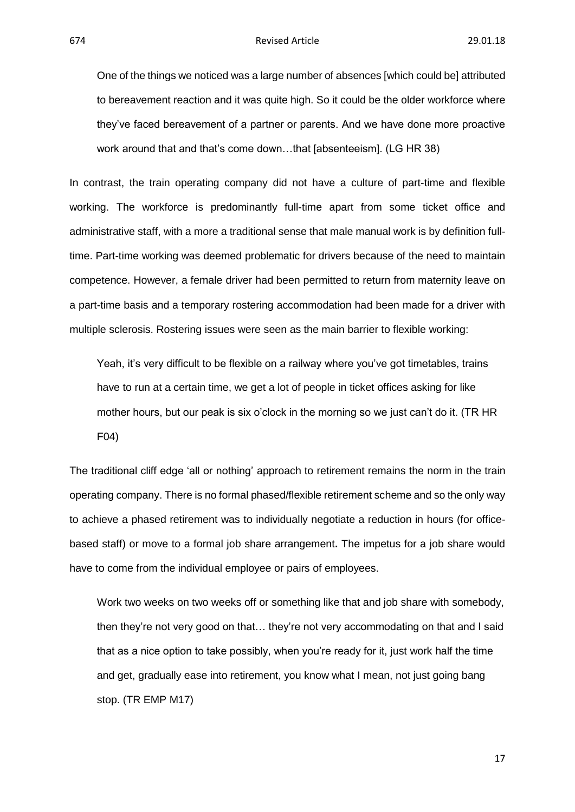One of the things we noticed was a large number of absences [which could be] attributed to bereavement reaction and it was quite high. So it could be the older workforce where they've faced bereavement of a partner or parents. And we have done more proactive work around that and that's come down…that [absenteeism]. (LG HR 38)

In contrast, the train operating company did not have a culture of part-time and flexible working. The workforce is predominantly full-time apart from some ticket office and administrative staff, with a more a traditional sense that male manual work is by definition fulltime. Part-time working was deemed problematic for drivers because of the need to maintain competence. However, a female driver had been permitted to return from maternity leave on a part-time basis and a temporary rostering accommodation had been made for a driver with multiple sclerosis. Rostering issues were seen as the main barrier to flexible working:

Yeah, it's very difficult to be flexible on a railway where you've got timetables, trains have to run at a certain time, we get a lot of people in ticket offices asking for like mother hours, but our peak is six o'clock in the morning so we just can't do it. (TR HR F04)

The traditional cliff edge 'all or nothing' approach to retirement remains the norm in the train operating company. There is no formal phased/flexible retirement scheme and so the only way to achieve a phased retirement was to individually negotiate a reduction in hours (for officebased staff) or move to a formal job share arrangement**.** The impetus for a job share would have to come from the individual employee or pairs of employees.

Work two weeks on two weeks off or something like that and job share with somebody, then they're not very good on that… they're not very accommodating on that and I said that as a nice option to take possibly, when you're ready for it, just work half the time and get, gradually ease into retirement, you know what I mean, not just going bang stop. (TR EMP M17)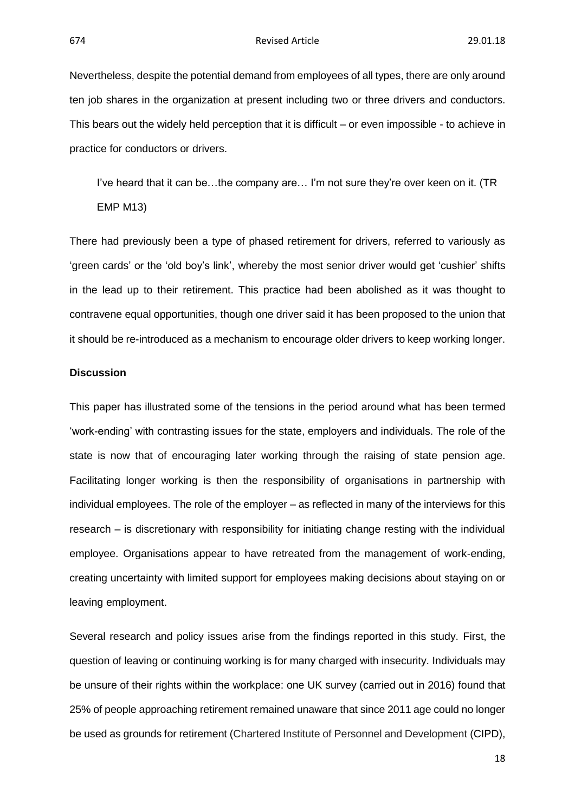Nevertheless, despite the potential demand from employees of all types, there are only around ten job shares in the organization at present including two or three drivers and conductors. This bears out the widely held perception that it is difficult – or even impossible - to achieve in practice for conductors or drivers.

I've heard that it can be…the company are… I'm not sure they're over keen on it. (TR EMP M13)

There had previously been a type of phased retirement for drivers, referred to variously as 'green cards' or the 'old boy's link', whereby the most senior driver would get 'cushier' shifts in the lead up to their retirement. This practice had been abolished as it was thought to contravene equal opportunities, though one driver said it has been proposed to the union that it should be re-introduced as a mechanism to encourage older drivers to keep working longer.

#### **Discussion**

This paper has illustrated some of the tensions in the period around what has been termed 'work-ending' with contrasting issues for the state, employers and individuals. The role of the state is now that of encouraging later working through the raising of state pension age. Facilitating longer working is then the responsibility of organisations in partnership with individual employees. The role of the employer – as reflected in many of the interviews for this research – is discretionary with responsibility for initiating change resting with the individual employee. Organisations appear to have retreated from the management of work-ending, creating uncertainty with limited support for employees making decisions about staying on or leaving employment.

Several research and policy issues arise from the findings reported in this study. First, the question of leaving or continuing working is for many charged with insecurity. Individuals may be unsure of their rights within the workplace: one UK survey (carried out in 2016) found that 25% of people approaching retirement remained unaware that since 2011 age could no longer be used as grounds for retirement (Chartered Institute of Personnel and Development (CIPD),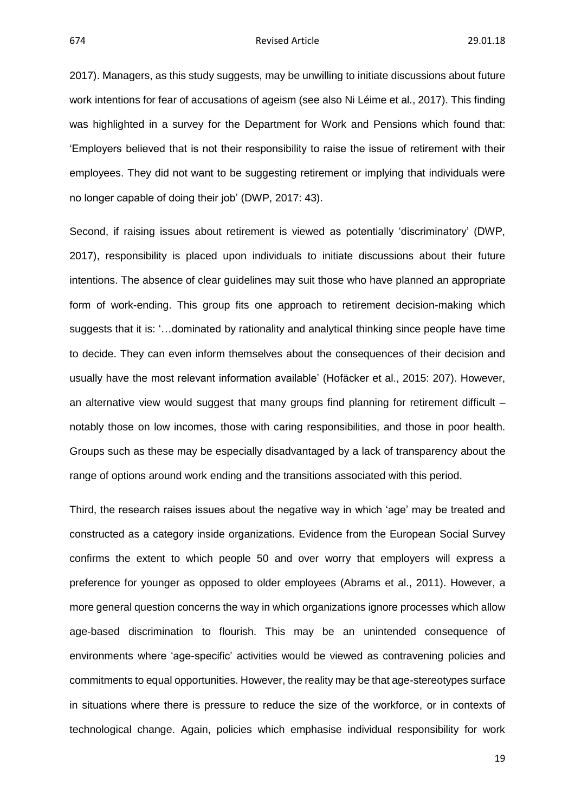674 Revised Article 29.01.18

2017). Managers, as this study suggests, may be unwilling to initiate discussions about future work intentions for fear of accusations of ageism (see also Ni Léime et al., 2017). This finding was highlighted in a survey for the Department for Work and Pensions which found that: 'Employers believed that is not their responsibility to raise the issue of retirement with their employees. They did not want to be suggesting retirement or implying that individuals were no longer capable of doing their job' (DWP, 2017: 43).

Second, if raising issues about retirement is viewed as potentially 'discriminatory' (DWP, 2017), responsibility is placed upon individuals to initiate discussions about their future intentions. The absence of clear guidelines may suit those who have planned an appropriate form of work-ending. This group fits one approach to retirement decision-making which suggests that it is: '…dominated by rationality and analytical thinking since people have time to decide. They can even inform themselves about the consequences of their decision and usually have the most relevant information available' (Hofäcker et al., 2015: 207). However, an alternative view would suggest that many groups find planning for retirement difficult – notably those on low incomes, those with caring responsibilities, and those in poor health. Groups such as these may be especially disadvantaged by a lack of transparency about the range of options around work ending and the transitions associated with this period.

Third, the research raises issues about the negative way in which 'age' may be treated and constructed as a category inside organizations. Evidence from the European Social Survey confirms the extent to which people 50 and over worry that employers will express a preference for younger as opposed to older employees (Abrams et al., 2011). However, a more general question concerns the way in which organizations ignore processes which allow age-based discrimination to flourish. This may be an unintended consequence of environments where 'age-specific' activities would be viewed as contravening policies and commitments to equal opportunities. However, the reality may be that age-stereotypes surface in situations where there is pressure to reduce the size of the workforce, or in contexts of technological change. Again, policies which emphasise individual responsibility for work

19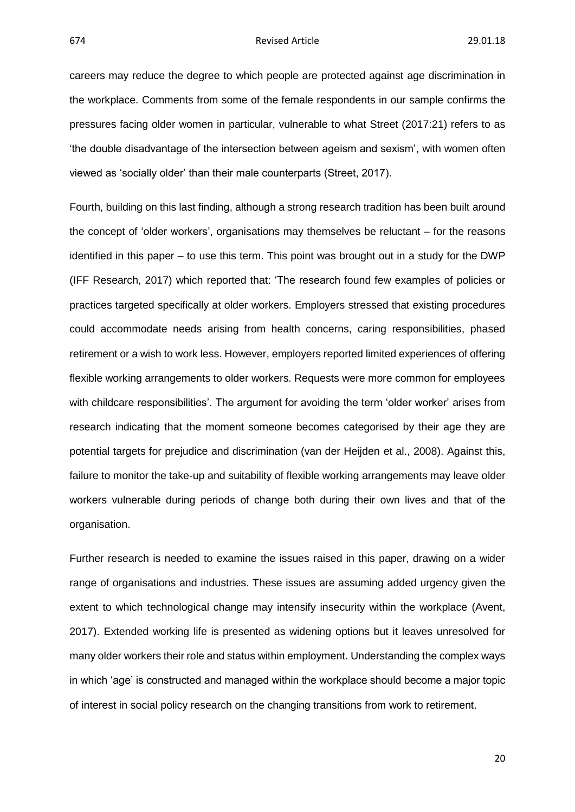careers may reduce the degree to which people are protected against age discrimination in the workplace. Comments from some of the female respondents in our sample confirms the pressures facing older women in particular, vulnerable to what Street (2017:21) refers to as 'the double disadvantage of the intersection between ageism and sexism', with women often viewed as 'socially older' than their male counterparts (Street, 2017).

Fourth, building on this last finding, although a strong research tradition has been built around the concept of 'older workers', organisations may themselves be reluctant – for the reasons identified in this paper – to use this term. This point was brought out in a study for the DWP (IFF Research, 2017) which reported that: 'The research found few examples of policies or practices targeted specifically at older workers. Employers stressed that existing procedures could accommodate needs arising from health concerns, caring responsibilities, phased retirement or a wish to work less. However, employers reported limited experiences of offering flexible working arrangements to older workers. Requests were more common for employees with childcare responsibilities'. The argument for avoiding the term 'older worker' arises from research indicating that the moment someone becomes categorised by their age they are potential targets for prejudice and discrimination (van der Heijden et al., 2008). Against this, failure to monitor the take-up and suitability of flexible working arrangements may leave older workers vulnerable during periods of change both during their own lives and that of the organisation.

Further research is needed to examine the issues raised in this paper, drawing on a wider range of organisations and industries. These issues are assuming added urgency given the extent to which technological change may intensify insecurity within the workplace (Avent, 2017). Extended working life is presented as widening options but it leaves unresolved for many older workers their role and status within employment. Understanding the complex ways in which 'age' is constructed and managed within the workplace should become a major topic of interest in social policy research on the changing transitions from work to retirement.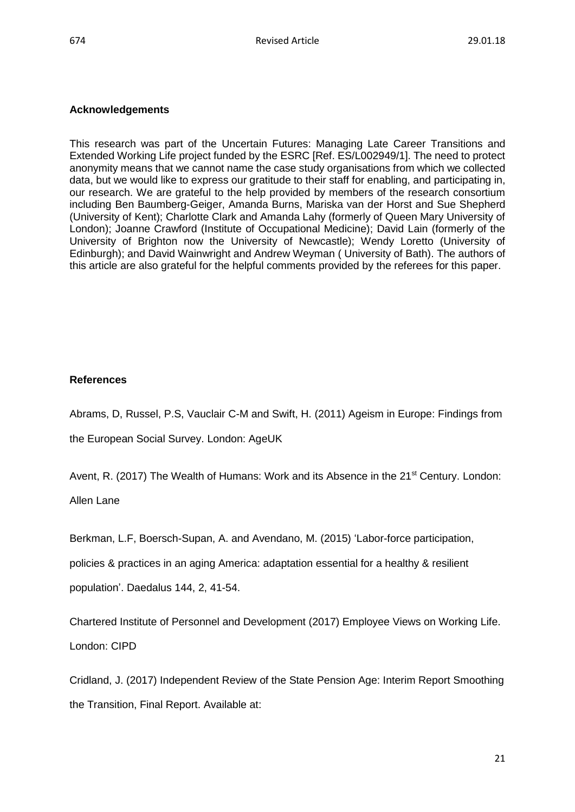#### **Acknowledgements**

This research was part of the Uncertain Futures: Managing Late Career Transitions and Extended Working Life project funded by the ESRC [Ref. ES/L002949/1]. The need to protect anonymity means that we cannot name the case study organisations from which we collected data, but we would like to express our gratitude to their staff for enabling, and participating in, our research. We are grateful to the help provided by members of the research consortium including Ben Baumberg-Geiger, Amanda Burns, Mariska van der Horst and Sue Shepherd (University of Kent); Charlotte Clark and Amanda Lahy (formerly of Queen Mary University of London); Joanne Crawford (Institute of Occupational Medicine); David Lain (formerly of the University of Brighton now the University of Newcastle); Wendy Loretto (University of Edinburgh); and David Wainwright and Andrew Weyman ( University of Bath). The authors of this article are also grateful for the helpful comments provided by the referees for this paper.

#### **References**

Abrams, D, Russel, P.S, Vauclair C-M and Swift, H. (2011) Ageism in Europe: Findings from

the European Social Survey. London: AgeUK

Avent, R. (2017) The Wealth of Humans: Work and its Absence in the 21<sup>st</sup> Century. London:

Allen Lane

Berkman, L.F, Boersch-Supan, A. and Avendano, M. (2015) 'Labor-force participation, policies & practices in an aging America: adaptation essential for a healthy & resilient population'. Daedalus 144, 2, 41-54.

Chartered Institute of Personnel and Development (2017) Employee Views on Working Life. London: CIPD

Cridland, J. (2017) Independent Review of the State Pension Age: Interim Report Smoothing the Transition, Final Report. Available at: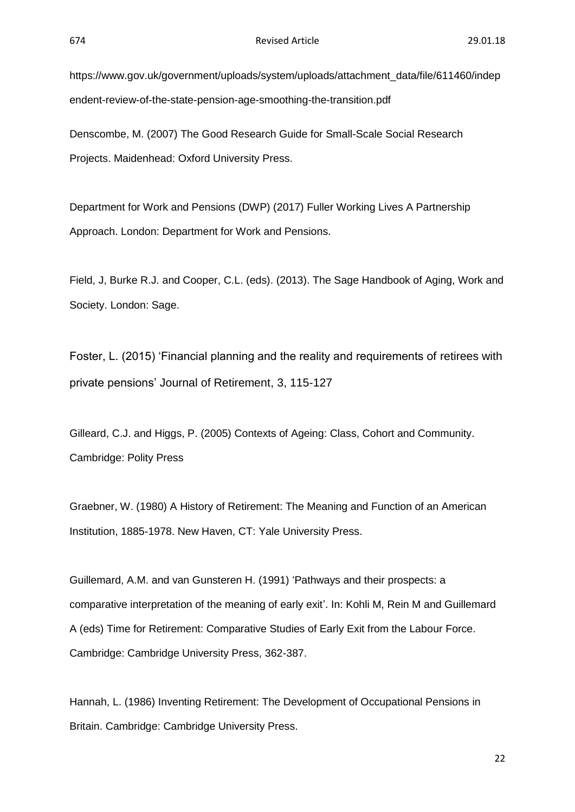https://www.gov.uk/government/uploads/system/uploads/attachment\_data/file/611460/indep endent-review-of-the-state-pension-age-smoothing-the-transition.pdf

Denscombe, M. (2007) The Good Research Guide for Small-Scale Social Research Projects. Maidenhead: Oxford University Press.

Department for Work and Pensions (DWP) (2017) Fuller Working Lives A Partnership Approach. London: Department for Work and Pensions.

Field, J, Burke R.J. and Cooper, C.L. (eds). (2013). The Sage Handbook of Aging, Work and Society. London: Sage.

Foster, L. (2015) 'Financial planning and the reality and requirements of retirees with private pensions' Journal of Retirement, 3, 115-127

Gilleard, C.J. and Higgs, P. (2005) Contexts of Ageing: Class, Cohort and Community. Cambridge: Polity Press

Graebner, W. (1980) A History of Retirement: The Meaning and Function of an American Institution, 1885-1978. New Haven, CT: Yale University Press.

Guillemard, A.M. and van Gunsteren H. (1991) 'Pathways and their prospects: a comparative interpretation of the meaning of early exit'. In: Kohli M, Rein M and Guillemard A (eds) Time for Retirement: Comparative Studies of Early Exit from the Labour Force. Cambridge: Cambridge University Press, 362-387.

Hannah, L. (1986) Inventing Retirement: The Development of Occupational Pensions in Britain. Cambridge: Cambridge University Press.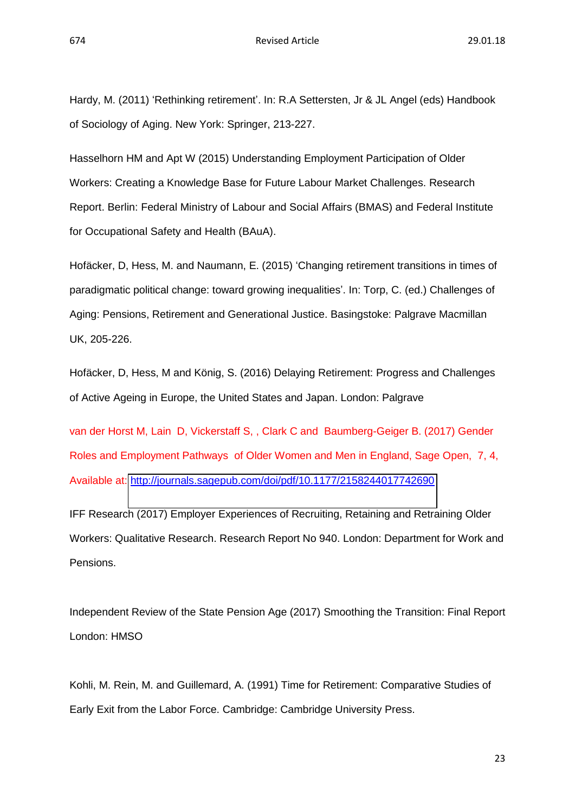Hardy, M. (2011) 'Rethinking retirement'. In: R.A Settersten, Jr & JL Angel (eds) Handbook of Sociology of Aging. New York: Springer, 213-227.

Hasselhorn HM and Apt W (2015) Understanding Employment Participation of Older Workers: Creating a Knowledge Base for Future Labour Market Challenges. Research Report. Berlin: Federal Ministry of Labour and Social Affairs (BMAS) and Federal Institute for Occupational Safety and Health (BAuA).

Hofäcker, D, Hess, M. and Naumann, E. (2015) 'Changing retirement transitions in times of paradigmatic political change: toward growing inequalities'. In: Torp, C. (ed.) Challenges of Aging: Pensions, Retirement and Generational Justice. Basingstoke: Palgrave Macmillan UK, 205-226.

Hofäcker, D, Hess, M and König, S. (2016) Delaying Retirement: Progress and Challenges of Active Ageing in Europe, the United States and Japan. London: Palgrave

van der Horst M, Lain D, Vickerstaff S, , Clark C and Baumberg-Geiger B. (2017) Gender Roles and Employment Pathways of Older Women and Men in England, Sage Open, 7, 4, Available at:<http://journals.sagepub.com/doi/pdf/10.1177/2158244017742690>

IFF Research (2017) Employer Experiences of Recruiting, Retaining and Retraining Older Workers: Qualitative Research. Research Report No 940. London: Department for Work and Pensions.

Independent Review of the State Pension Age (2017) Smoothing the Transition: Final Report London: HMSO

Kohli, M. Rein, M. and Guillemard, A. (1991) Time for Retirement: Comparative Studies of Early Exit from the Labor Force. Cambridge: Cambridge University Press.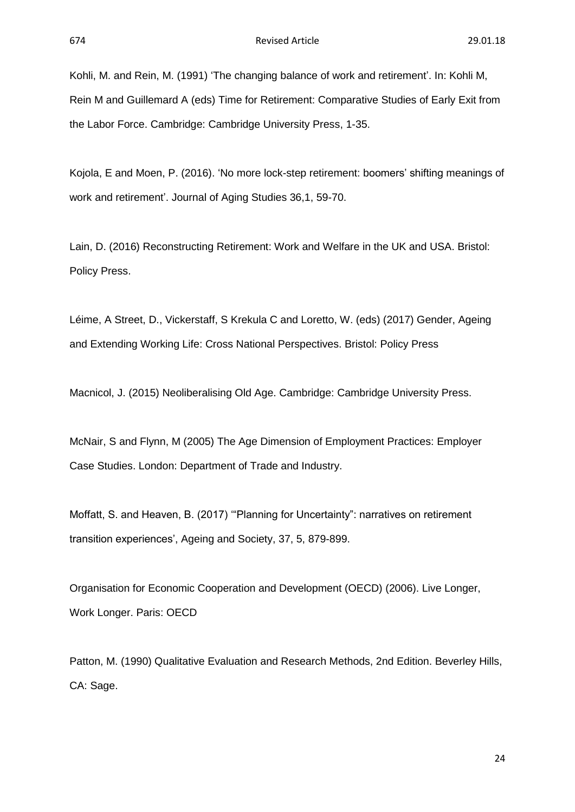Kohli, M. and Rein, M. (1991) 'The changing balance of work and retirement'. In: Kohli M, Rein M and Guillemard A (eds) Time for Retirement: Comparative Studies of Early Exit from the Labor Force. Cambridge: Cambridge University Press, 1-35.

Kojola, E and Moen, P. (2016). 'No more lock-step retirement: boomers' shifting meanings of work and retirement'. Journal of Aging Studies 36,1, 59-70.

Lain, D. (2016) Reconstructing Retirement: Work and Welfare in the UK and USA. Bristol: Policy Press.

Léime, A Street, D., Vickerstaff, S Krekula C and Loretto, W. (eds) (2017) Gender, Ageing and Extending Working Life: Cross National Perspectives. Bristol: Policy Press

Macnicol, J. (2015) Neoliberalising Old Age. Cambridge: Cambridge University Press.

McNair, S and Flynn, M (2005) The Age Dimension of Employment Practices: Employer Case Studies. London: Department of Trade and Industry.

Moffatt, S. and Heaven, B. (2017) '"Planning for Uncertainty": narratives on retirement transition experiences', Ageing and Society, 37, 5, 879-899.

Organisation for Economic Cooperation and Development (OECD) (2006). Live Longer, Work Longer. Paris: OECD

Patton, M. (1990) Qualitative Evaluation and Research Methods, 2nd Edition. Beverley Hills, CA: Sage.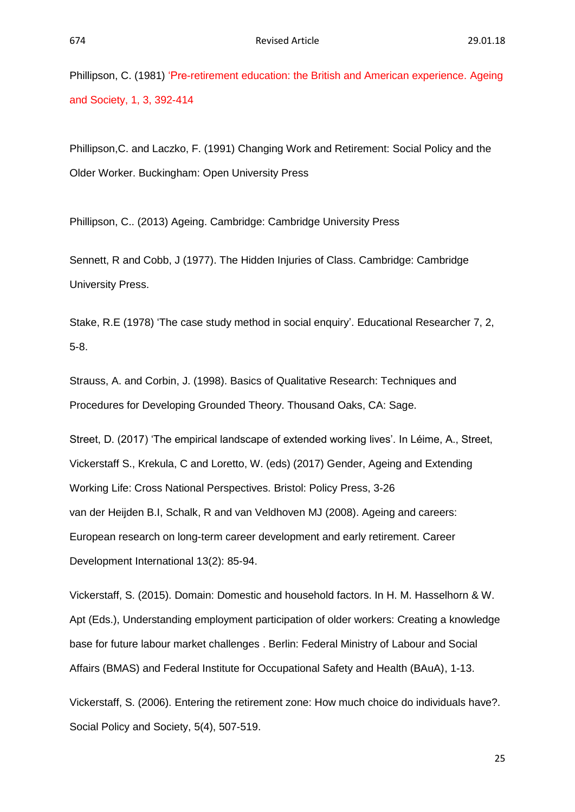Phillipson, C. (1981) 'Pre-retirement education: the British and American experience. Ageing and Society, 1, 3, 392-414

Phillipson,C. and Laczko, F. (1991) Changing Work and Retirement: Social Policy and the Older Worker. Buckingham: Open University Press

Phillipson, C.. (2013) Ageing. Cambridge: Cambridge University Press

Sennett, R and Cobb, J (1977). The Hidden Injuries of Class. Cambridge: Cambridge University Press.

Stake, R.E (1978) 'The case study method in social enquiry'. Educational Researcher 7, 2, 5-8.

Strauss, A. and Corbin, J. (1998). Basics of Qualitative Research: Techniques and Procedures for Developing Grounded Theory. Thousand Oaks, CA: Sage.

Street, D. (2017) 'The empirical landscape of extended working lives'. In Léime, A., Street, Vickerstaff S., Krekula, C and Loretto, W. (eds) (2017) Gender, Ageing and Extending Working Life: Cross National Perspectives. Bristol: Policy Press, 3-26 van der Heijden B.I, Schalk, R and van Veldhoven MJ (2008). Ageing and careers: European research on long-term career development and early retirement. Career Development International 13(2): 85-94.

Vickerstaff, S. (2015). Domain: Domestic and household factors. In H. M. Hasselhorn & W. Apt (Eds.), Understanding employment participation of older workers: Creating a knowledge base for future labour market challenges . Berlin: Federal Ministry of Labour and Social Affairs (BMAS) and Federal Institute for Occupational Safety and Health (BAuA), 1-13.

Vickerstaff, S. (2006). Entering the retirement zone: How much choice do individuals have?. Social Policy and Society, 5(4), 507-519.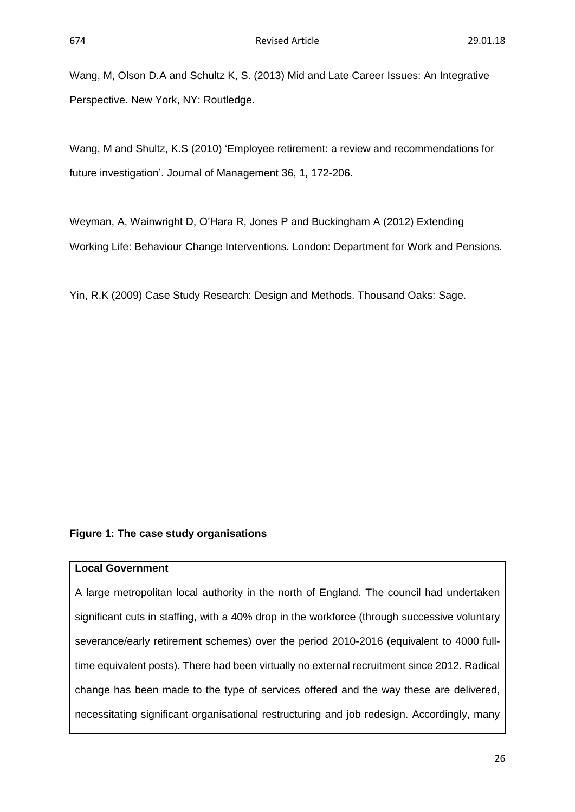Wang, M, Olson D.A and Schultz K, S. (2013) Mid and Late Career Issues: An Integrative Perspective. New York, NY: Routledge.

Wang, M and Shultz, K.S (2010) 'Employee retirement: a review and recommendations for future investigation'. Journal of Management 36, 1, 172-206.

Weyman, A, Wainwright D, O'Hara R, Jones P and Buckingham A (2012) Extending Working Life: Behaviour Change Interventions. London: Department for Work and Pensions.

Yin, R.K (2009) Case Study Research: Design and Methods. Thousand Oaks: Sage.

#### **Figure 1: The case study organisations**

#### **Local Government**

A large metropolitan local authority in the north of England. The council had undertaken significant cuts in staffing, with a 40% drop in the workforce (through successive voluntary severance/early retirement schemes) over the period 2010-2016 (equivalent to 4000 fulltime equivalent posts). There had been virtually no external recruitment since 2012. Radical change has been made to the type of services offered and the way these are delivered, necessitating significant organisational restructuring and job redesign. Accordingly, many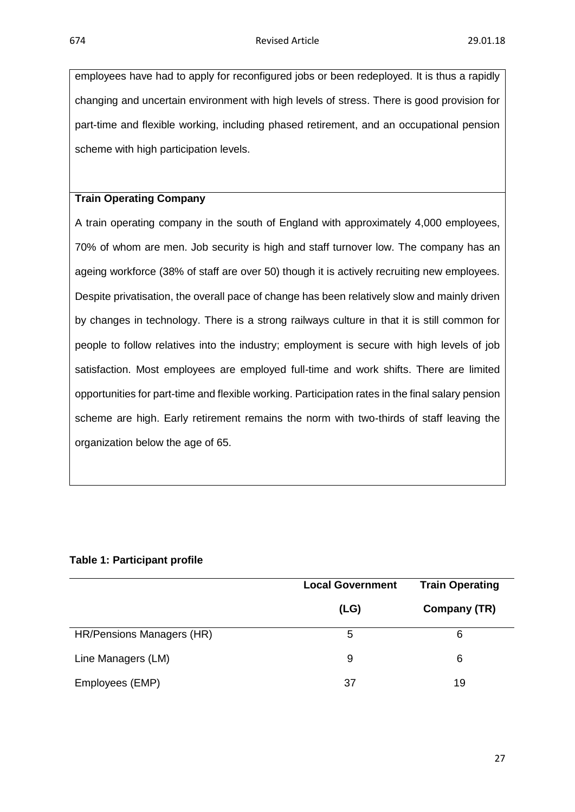employees have had to apply for reconfigured jobs or been redeployed. It is thus a rapidly changing and uncertain environment with high levels of stress. There is good provision for part-time and flexible working, including phased retirement, and an occupational pension scheme with high participation levels.

#### **Train Operating Company**

A train operating company in the south of England with approximately 4,000 employees, 70% of whom are men. Job security is high and staff turnover low. The company has an ageing workforce (38% of staff are over 50) though it is actively recruiting new employees. Despite privatisation, the overall pace of change has been relatively slow and mainly driven by changes in technology. There is a strong railways culture in that it is still common for people to follow relatives into the industry; employment is secure with high levels of job satisfaction. Most employees are employed full-time and work shifts. There are limited opportunities for part-time and flexible working. Participation rates in the final salary pension scheme are high. Early retirement remains the norm with two-thirds of staff leaving the organization below the age of 65.

#### **Table 1: Participant profile**

|                           | <b>Local Government</b> | <b>Train Operating</b> |
|---------------------------|-------------------------|------------------------|
|                           | (LG)                    | Company (TR)           |
| HR/Pensions Managers (HR) | 5                       | 6                      |
| Line Managers (LM)        | 9                       | 6                      |
| Employees (EMP)           | 37                      | 19                     |